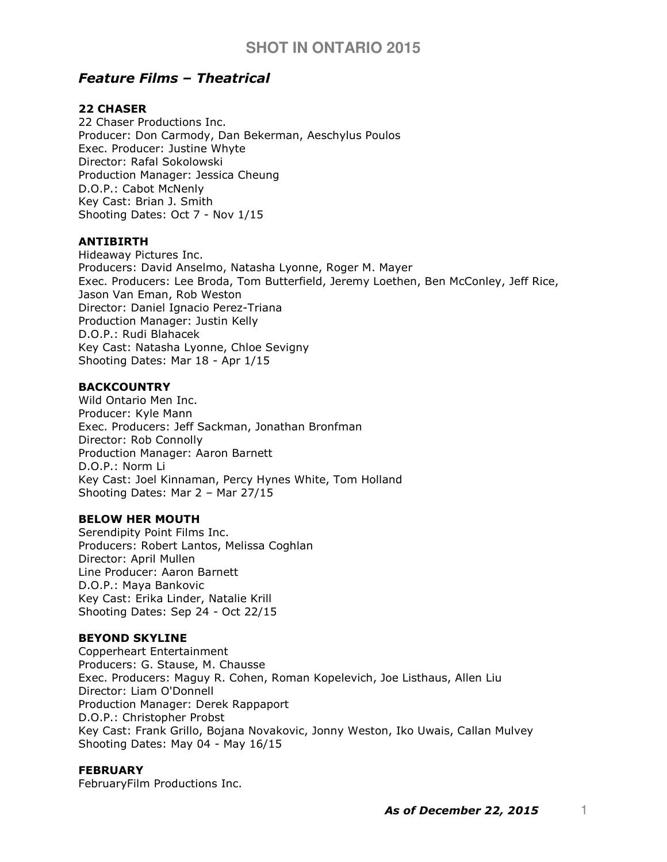# Feature Films – Theatrical

# 22 CHASER

22 Chaser Productions Inc. Producer: Don Carmody, Dan Bekerman, Aeschylus Poulos Exec. Producer: Justine Whyte Director: Rafal Sokolowski Production Manager: Jessica Cheung D.O.P.: Cabot McNenly Key Cast: Brian J. Smith Shooting Dates: Oct 7 - Nov 1/15

## ANTIBIRTH

Hideaway Pictures Inc. Producers: David Anselmo, Natasha Lyonne, Roger M. Mayer Exec. Producers: Lee Broda, Tom Butterfield, Jeremy Loethen, Ben McConley, Jeff Rice, Jason Van Eman, Rob Weston Director: Daniel Ignacio Perez-Triana Production Manager: Justin Kelly D.O.P.: Rudi Blahacek Key Cast: Natasha Lyonne, Chloe Sevigny Shooting Dates: Mar 18 - Apr 1/15

## **BACKCOUNTRY**

Wild Ontario Men Inc. Producer: Kyle Mann Exec. Producers: Jeff Sackman, Jonathan Bronfman Director: Rob Connolly Production Manager: Aaron Barnett D.O.P.: Norm Li Key Cast: Joel Kinnaman, Percy Hynes White, Tom Holland Shooting Dates: Mar 2 – Mar 27/15

#### BELOW HER MOUTH

Serendipity Point Films Inc. Producers: Robert Lantos, Melissa Coghlan Director: April Mullen Line Producer: Aaron Barnett D.O.P.: Maya Bankovic Key Cast: Erika Linder, Natalie Krill Shooting Dates: Sep 24 - Oct 22/15

#### BEYOND SKYLINE

Copperheart Entertainment Producers: G. Stause, M. Chausse Exec. Producers: Maguy R. Cohen, Roman Kopelevich, Joe Listhaus, Allen Liu Director: Liam O'Donnell Production Manager: Derek Rappaport D.O.P.: Christopher Probst Key Cast: Frank Grillo, Bojana Novakovic, Jonny Weston, Iko Uwais, Callan Mulvey Shooting Dates: May 04 - May 16/15

#### **FEBRUARY**

FebruaryFilm Productions Inc.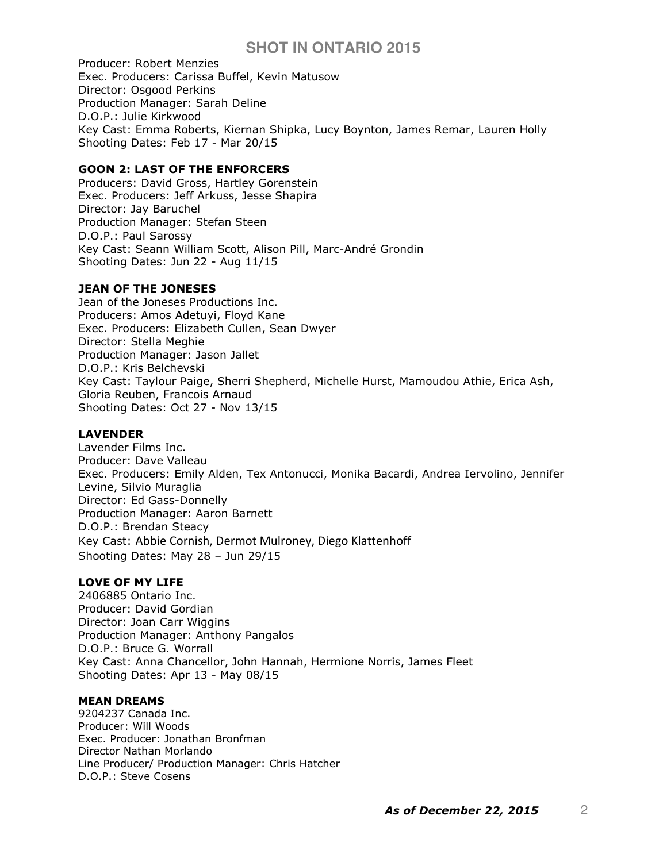Producer: Robert Menzies Exec. Producers: Carissa Buffel, Kevin Matusow Director: Osgood Perkins Production Manager: Sarah Deline D.O.P.: Julie Kirkwood Key Cast: Emma Roberts, Kiernan Shipka, Lucy Boynton, James Remar, Lauren Holly Shooting Dates: Feb 17 - Mar 20/15

#### GOON 2: LAST OF THE ENFORCERS

Producers: David Gross, Hartley Gorenstein Exec. Producers: Jeff Arkuss, Jesse Shapira Director: Jay Baruchel Production Manager: Stefan Steen D.O.P.: Paul Sarossy Key Cast: Seann William Scott, Alison Pill, Marc-André Grondin Shooting Dates: Jun 22 - Aug 11/15

#### JEAN OF THE JONESES

Jean of the Joneses Productions Inc. Producers: Amos Adetuyi, Floyd Kane Exec. Producers: Elizabeth Cullen, Sean Dwyer Director: Stella Meghie Production Manager: Jason Jallet D.O.P.: Kris Belchevski Key Cast: Taylour Paige, Sherri Shepherd, Michelle Hurst, Mamoudou Athie, Erica Ash, Gloria Reuben, Francois Arnaud Shooting Dates: Oct 27 - Nov 13/15

### LAVENDER

Lavender Films Inc. Producer: Dave Valleau Exec. Producers: Emily Alden, Tex Antonucci, Monika Bacardi, Andrea Iervolino, Jennifer Levine, Silvio Muraglia Director: Ed Gass-Donnelly Production Manager: Aaron Barnett D.O.P.: Brendan Steacy Key Cast: Abbie Cornish, Dermot Mulroney, Diego Klattenhoff Shooting Dates: May 28 – Jun 29/15

## LOVE OF MY LIFE

2406885 Ontario Inc. Producer: David Gordian Director: Joan Carr Wiggins Production Manager: Anthony Pangalos D.O.P.: Bruce G. Worrall Key Cast: Anna Chancellor, John Hannah, Hermione Norris, James Fleet Shooting Dates: Apr 13 - May 08/15

#### MEAN DREAMS

9204237 Canada Inc. Producer: Will Woods Exec. Producer: Jonathan Bronfman Director Nathan Morlando Line Producer/ Production Manager: Chris Hatcher D.O.P.: Steve Cosens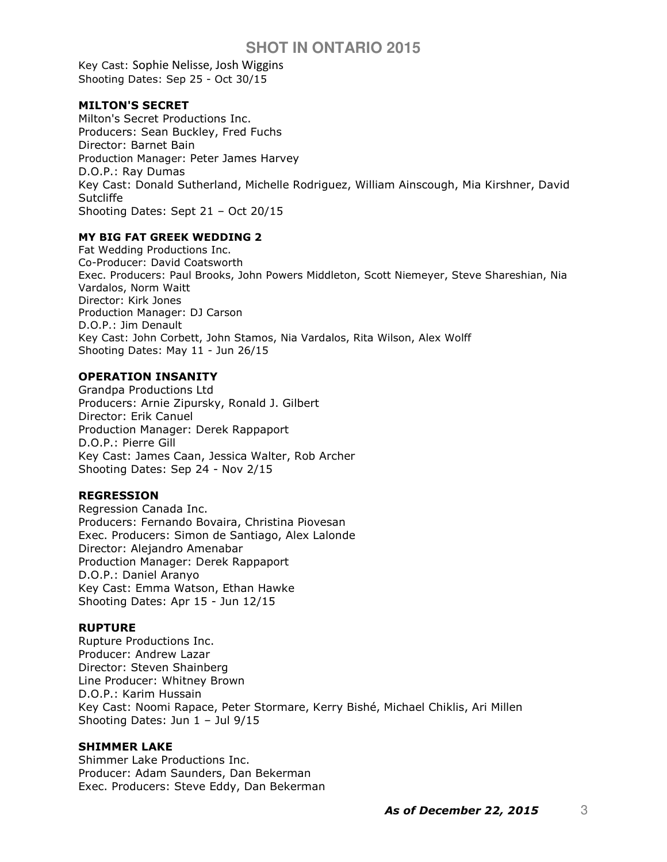Key Cast: Sophie Nelisse, Josh Wiggins Shooting Dates: Sep 25 - Oct 30/15

#### MILTON'S SECRET

Milton's Secret Productions Inc. Producers: Sean Buckley, Fred Fuchs Director: Barnet Bain Production Manager: Peter James Harvey D.O.P.: Ray Dumas Key Cast: Donald Sutherland, Michelle Rodriguez, William Ainscough, Mia Kirshner, David **Sutcliffe** Shooting Dates: Sept 21 – Oct 20/15

#### MY BIG FAT GREEK WEDDING 2

Fat Wedding Productions Inc. Co-Producer: David Coatsworth Exec. Producers: Paul Brooks, John Powers Middleton, Scott Niemeyer, Steve Shareshian, Nia Vardalos, Norm Waitt Director: Kirk Jones Production Manager: DJ Carson D.O.P.: Jim Denault Key Cast: John Corbett, John Stamos, Nia Vardalos, Rita Wilson, Alex Wolff Shooting Dates: May 11 - Jun 26/15

## OPERATION INSANITY

Grandpa Productions Ltd Producers: Arnie Zipursky, Ronald J. Gilbert Director: Erik Canuel Production Manager: Derek Rappaport D.O.P.: Pierre Gill Key Cast: James Caan, Jessica Walter, Rob Archer Shooting Dates: Sep 24 - Nov 2/15

#### **REGRESSION**

Regression Canada Inc. Producers: Fernando Bovaira, Christina Piovesan Exec. Producers: Simon de Santiago, Alex Lalonde Director: Alejandro Amenabar Production Manager: Derek Rappaport D.O.P.: Daniel Aranyo Key Cast: Emma Watson, Ethan Hawke Shooting Dates: Apr 15 - Jun 12/15

#### RUPTURE

Rupture Productions Inc. Producer: Andrew Lazar Director: Steven Shainberg Line Producer: Whitney Brown D.O.P.: Karim Hussain Key Cast: Noomi Rapace, Peter Stormare, Kerry Bishé, Michael Chiklis, Ari Millen Shooting Dates: Jun 1 – Jul 9/15

#### SHIMMER LAKE

Shimmer Lake Productions Inc. Producer: Adam Saunders, Dan Bekerman Exec. Producers: Steve Eddy, Dan Bekerman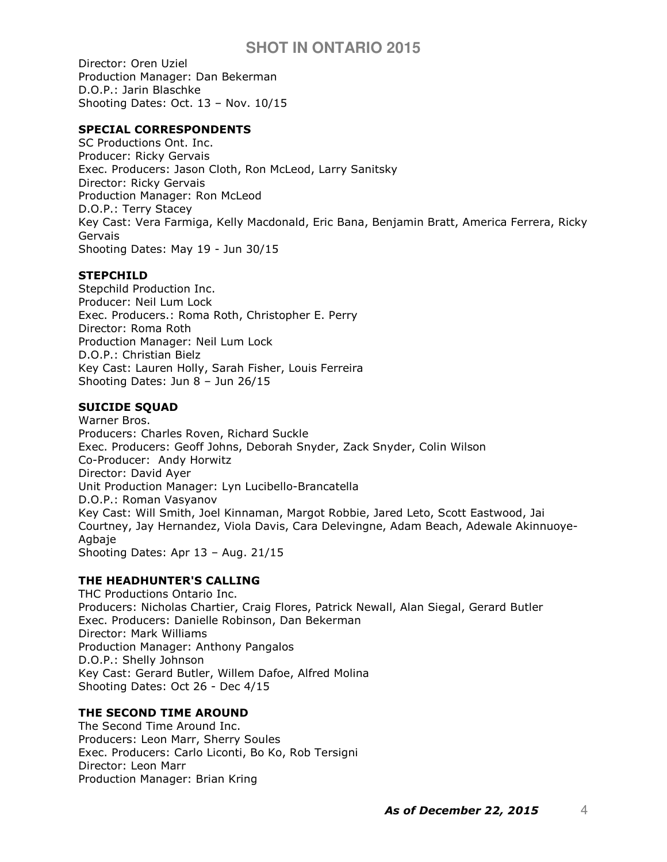Director: Oren Uziel Production Manager: Dan Bekerman D.O.P.: Jarin Blaschke Shooting Dates: Oct. 13 – Nov. 10/15

#### SPECIAL CORRESPONDENTS

SC Productions Ont. Inc. Producer: Ricky Gervais Exec. Producers: Jason Cloth, Ron McLeod, Larry Sanitsky Director: Ricky Gervais Production Manager: Ron McLeod D.O.P.: Terry Stacey Key Cast: Vera Farmiga, Kelly Macdonald, Eric Bana, Benjamin Bratt, America Ferrera, Ricky Gervais Shooting Dates: May 19 - Jun 30/15

#### STEPCHILD

Stepchild Production Inc. Producer: Neil Lum Lock Exec. Producers.: Roma Roth, Christopher E. Perry Director: Roma Roth Production Manager: Neil Lum Lock D.O.P.: Christian Bielz Key Cast: Lauren Holly, Sarah Fisher, Louis Ferreira Shooting Dates: Jun 8 – Jun 26/15

## SUICIDE SQUAD

Warner Bros. Producers: Charles Roven, Richard Suckle Exec. Producers: Geoff Johns, Deborah Snyder, Zack Snyder, Colin Wilson Co-Producer: Andy Horwitz Director: David Ayer Unit Production Manager: Lyn Lucibello-Brancatella D.O.P.: Roman Vasyanov Key Cast: Will Smith, Joel Kinnaman, Margot Robbie, Jared Leto, Scott Eastwood, Jai Courtney, Jay Hernandez, Viola Davis, Cara Delevingne, Adam Beach, Adewale Akinnuoye-Agbaje Shooting Dates: Apr 13 – Aug. 21/15

#### THE HEADHUNTER'S CALLING

THC Productions Ontario Inc. Producers: Nicholas Chartier, Craig Flores, Patrick Newall, Alan Siegal, Gerard Butler Exec. Producers: Danielle Robinson, Dan Bekerman Director: Mark Williams Production Manager: Anthony Pangalos D.O.P.: Shelly Johnson Key Cast: Gerard Butler, Willem Dafoe, Alfred Molina Shooting Dates: Oct 26 - Dec 4/15

#### THE SECOND TIME AROUND

The Second Time Around Inc. Producers: Leon Marr, Sherry Soules Exec. Producers: Carlo Liconti, Bo Ko, Rob Tersigni Director: Leon Marr Production Manager: Brian Kring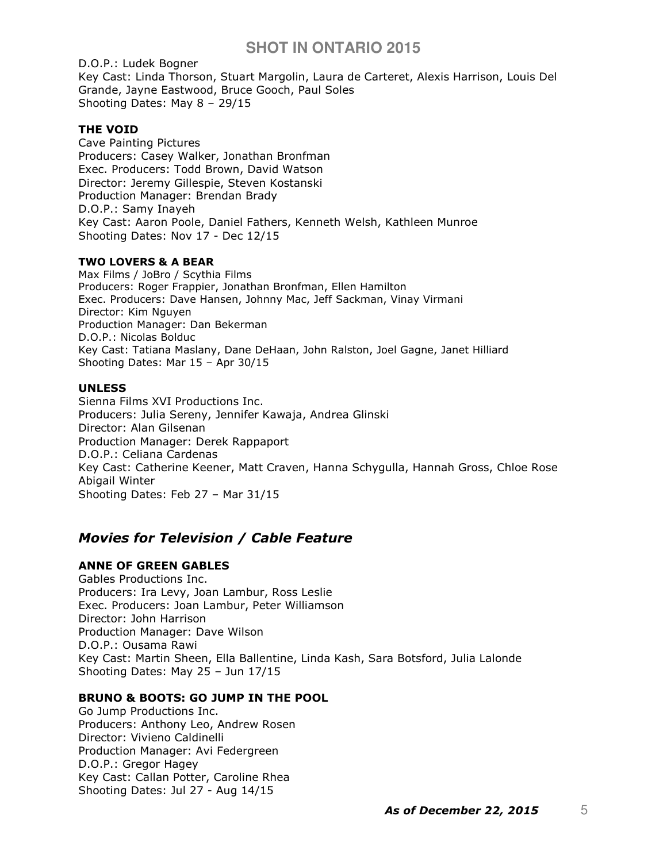D.O.P.: Ludek Bogner Key Cast: Linda Thorson, Stuart Margolin, Laura de Carteret, Alexis Harrison, Louis Del Grande, Jayne Eastwood, Bruce Gooch, Paul Soles Shooting Dates: May 8 – 29/15

### THE VOID

Cave Painting Pictures Producers: Casey Walker, Jonathan Bronfman Exec. Producers: Todd Brown, David Watson Director: Jeremy Gillespie, Steven Kostanski Production Manager: Brendan Brady D.O.P.: Samy Inayeh Key Cast: Aaron Poole, Daniel Fathers, Kenneth Welsh, Kathleen Munroe Shooting Dates: Nov 17 - Dec 12/15

## TWO LOVERS & A BEAR

Max Films / JoBro / Scythia Films Producers: Roger Frappier, Jonathan Bronfman, Ellen Hamilton Exec. Producers: Dave Hansen, Johnny Mac, Jeff Sackman, Vinay Virmani Director: Kim Nguyen Production Manager: Dan Bekerman D.O.P.: Nicolas Bolduc Key Cast: Tatiana Maslany, Dane DeHaan, John Ralston, Joel Gagne, Janet Hilliard Shooting Dates: Mar 15 – Apr 30/15

# UNLESS

Sienna Films XVI Productions Inc. Producers: Julia Sereny, Jennifer Kawaja, Andrea Glinski Director: Alan Gilsenan Production Manager: Derek Rappaport D.O.P.: Celiana Cardenas Key Cast: Catherine Keener, Matt Craven, Hanna Schygulla, Hannah Gross, Chloe Rose Abigail Winter Shooting Dates: Feb 27 – Mar 31/15

# Movies for Television / Cable Feature

# ANNE OF GREEN GABLES

Gables Productions Inc. Producers: Ira Levy, Joan Lambur, Ross Leslie Exec. Producers: Joan Lambur, Peter Williamson Director: John Harrison Production Manager: Dave Wilson D.O.P.: Ousama Rawi Key Cast: Martin Sheen, Ella Ballentine, Linda Kash, Sara Botsford, Julia Lalonde Shooting Dates: May 25 – Jun 17/15

# BRUNO & BOOTS: GO JUMP IN THE POOL

Go Jump Productions Inc. Producers: Anthony Leo, Andrew Rosen Director: Vivieno Caldinelli Production Manager: Avi Federgreen D.O.P.: Gregor Hagey Key Cast: Callan Potter, Caroline Rhea Shooting Dates: Jul 27 - Aug 14/15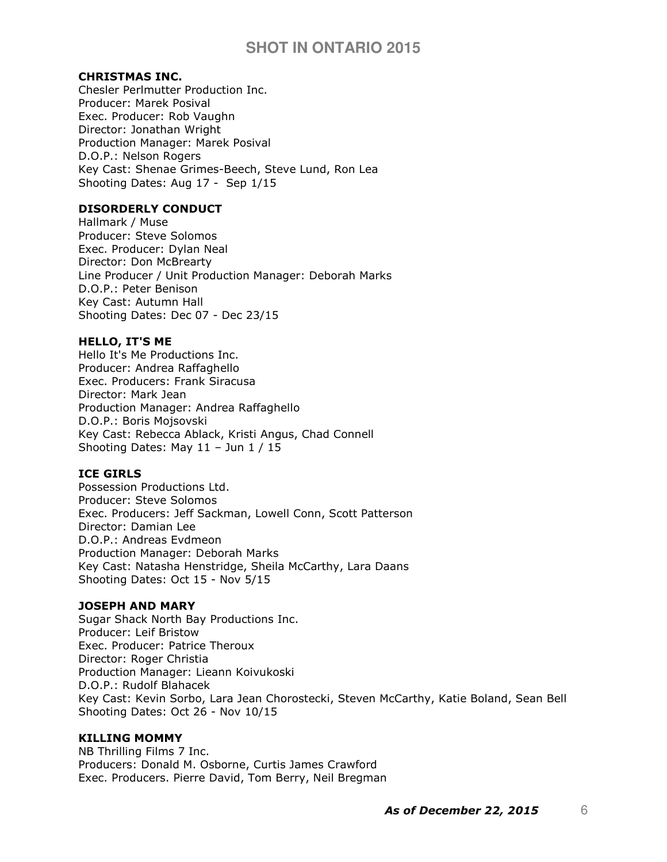### CHRISTMAS INC.

Chesler Perlmutter Production Inc. Producer: Marek Posival Exec. Producer: Rob Vaughn Director: Jonathan Wright Production Manager: Marek Posival D.O.P.: Nelson Rogers Key Cast: Shenae Grimes-Beech, Steve Lund, Ron Lea Shooting Dates: Aug 17 - Sep 1/15

## DISORDERLY CONDUCT

Hallmark / Muse Producer: Steve Solomos Exec. Producer: Dylan Neal Director: Don McBrearty Line Producer / Unit Production Manager: Deborah Marks D.O.P.: Peter Benison Key Cast: Autumn Hall Shooting Dates: Dec 07 - Dec 23/15

#### HELLO, IT'S ME

Hello It's Me Productions Inc. Producer: Andrea Raffaghello Exec. Producers: Frank Siracusa Director: Mark Jean Production Manager: Andrea Raffaghello D.O.P.: Boris Mojsovski Key Cast: Rebecca Ablack, Kristi Angus, Chad Connell Shooting Dates: May 11 – Jun 1 / 15

# ICE GIRLS

Possession Productions Ltd. Producer: Steve Solomos Exec. Producers: Jeff Sackman, Lowell Conn, Scott Patterson Director: Damian Lee D.O.P.: Andreas Evdmeon Production Manager: Deborah Marks Key Cast: Natasha Henstridge, Sheila McCarthy, Lara Daans Shooting Dates: Oct 15 - Nov 5/15

#### JOSEPH AND MARY

Sugar Shack North Bay Productions Inc. Producer: Leif Bristow Exec. Producer: Patrice Theroux Director: Roger Christia Production Manager: Lieann Koivukoski D.O.P.: Rudolf Blahacek Key Cast: Kevin Sorbo, Lara Jean Chorostecki, Steven McCarthy, Katie Boland, Sean Bell Shooting Dates: Oct 26 - Nov 10/15

### KILLING MOMMY

NB Thrilling Films 7 Inc. Producers: Donald M. Osborne, Curtis James Crawford Exec. Producers. Pierre David, Tom Berry, Neil Bregman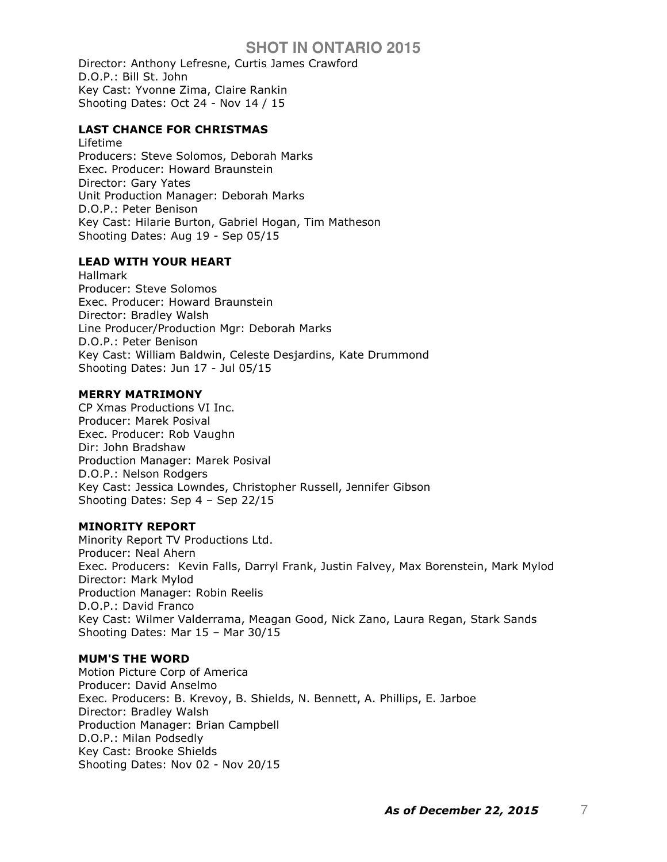Director: Anthony Lefresne, Curtis James Crawford D.O.P.: Bill St. John Key Cast: Yvonne Zima, Claire Rankin Shooting Dates: Oct 24 - Nov 14 / 15

### LAST CHANCE FOR CHRISTMAS

Lifetime Producers: Steve Solomos, Deborah Marks Exec. Producer: Howard Braunstein Director: Gary Yates Unit Production Manager: Deborah Marks D.O.P.: Peter Benison Key Cast: Hilarie Burton, Gabriel Hogan, Tim Matheson Shooting Dates: Aug 19 - Sep 05/15

## LEAD WITH YOUR HEART

Hallmark Producer: Steve Solomos Exec. Producer: Howard Braunstein Director: Bradley Walsh Line Producer/Production Mgr: Deborah Marks D.O.P.: Peter Benison Key Cast: William Baldwin, Celeste Desjardins, Kate Drummond Shooting Dates: Jun 17 - Jul 05/15

#### MERRY MATRIMONY

CP Xmas Productions VI Inc. Producer: Marek Posival Exec. Producer: Rob Vaughn Dir: John Bradshaw Production Manager: Marek Posival D.O.P.: Nelson Rodgers Key Cast: Jessica Lowndes, Christopher Russell, Jennifer Gibson Shooting Dates: Sep 4 – Sep 22/15

# MINORITY REPORT

Minority Report TV Productions Ltd. Producer: Neal Ahern Exec. Producers: Kevin Falls, Darryl Frank, Justin Falvey, Max Borenstein, Mark Mylod Director: Mark Mylod Production Manager: Robin Reelis D.O.P.: David Franco Key Cast: Wilmer Valderrama, Meagan Good, Nick Zano, Laura Regan, Stark Sands Shooting Dates: Mar 15 – Mar 30/15

#### MUM'S THE WORD

Motion Picture Corp of America Producer: David Anselmo Exec. Producers: B. Krevoy, B. Shields, N. Bennett, A. Phillips, E. Jarboe Director: Bradley Walsh Production Manager: Brian Campbell D.O.P.: Milan Podsedly Key Cast: Brooke Shields Shooting Dates: Nov 02 - Nov 20/15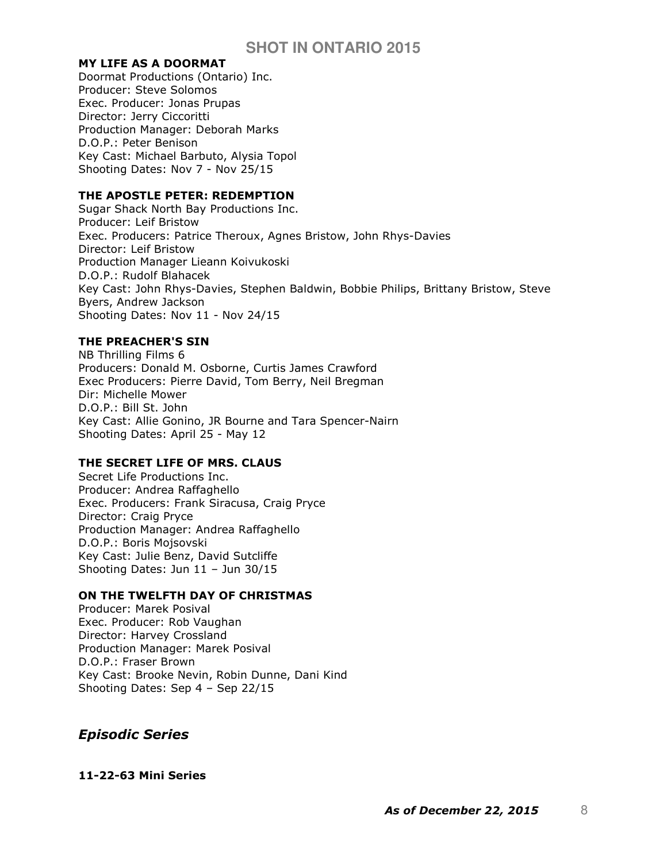## MY LIFE AS A DOORMAT

Doormat Productions (Ontario) Inc. Producer: Steve Solomos Exec. Producer: Jonas Prupas Director: Jerry Ciccoritti Production Manager: Deborah Marks D.O.P.: Peter Benison Key Cast: Michael Barbuto, Alysia Topol Shooting Dates: Nov 7 - Nov 25/15

## THE APOSTLE PETER: REDEMPTION

Sugar Shack North Bay Productions Inc. Producer: Leif Bristow Exec. Producers: Patrice Theroux, Agnes Bristow, John Rhys-Davies Director: Leif Bristow Production Manager Lieann Koivukoski D.O.P.: Rudolf Blahacek Key Cast: John Rhys-Davies, Stephen Baldwin, Bobbie Philips, Brittany Bristow, Steve Byers, Andrew Jackson Shooting Dates: Nov 11 - Nov 24/15

# THE PREACHER'S SIN

NB Thrilling Films 6 Producers: Donald M. Osborne, Curtis James Crawford Exec Producers: Pierre David, Tom Berry, Neil Bregman Dir: Michelle Mower D.O.P.: Bill St. John Key Cast: Allie Gonino, JR Bourne and Tara Spencer-Nairn Shooting Dates: April 25 - May 12

# THE SECRET LIFE OF MRS. CLAUS

Secret Life Productions Inc. Producer: Andrea Raffaghello Exec. Producers: Frank Siracusa, Craig Pryce Director: Craig Pryce Production Manager: Andrea Raffaghello D.O.P.: Boris Mojsovski Key Cast: Julie Benz, David Sutcliffe Shooting Dates: Jun 11 – Jun 30/15

# ON THE TWELFTH DAY OF CHRISTMAS

Producer: Marek Posival Exec. Producer: Rob Vaughan Director: Harvey Crossland Production Manager: Marek Posival D.O.P.: Fraser Brown Key Cast: Brooke Nevin, Robin Dunne, Dani Kind Shooting Dates: Sep 4 – Sep 22/15

# Episodic Series

# 11-22-63 Mini Series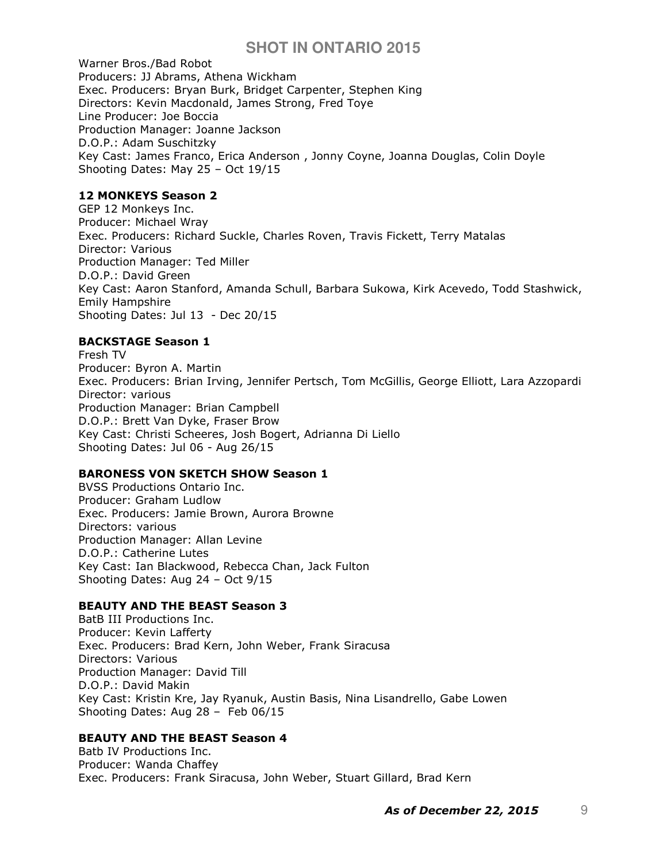Warner Bros./Bad Robot Producers: JJ Abrams, Athena Wickham Exec. Producers: Bryan Burk, Bridget Carpenter, Stephen King Directors: Kevin Macdonald, James Strong, Fred Toye Line Producer: Joe Boccia Production Manager: Joanne Jackson D.O.P.: Adam Suschitzky Key Cast: James Franco, Erica Anderson , Jonny Coyne, Joanna Douglas, Colin Doyle Shooting Dates: May 25 – Oct 19/15

### 12 MONKEYS Season 2

GEP 12 Monkeys Inc. Producer: Michael Wray Exec. Producers: Richard Suckle, Charles Roven, Travis Fickett, Terry Matalas Director: Various Production Manager: Ted Miller D.O.P.: David Green Key Cast: Aaron Stanford, Amanda Schull, Barbara Sukowa, Kirk Acevedo, Todd Stashwick, Emily Hampshire Shooting Dates: Jul 13 - Dec 20/15

# BACKSTAGE Season 1

Fresh TV Producer: Byron A. Martin Exec. Producers: Brian Irving, Jennifer Pertsch, Tom McGillis, George Elliott, Lara Azzopardi Director: various Production Manager: Brian Campbell D.O.P.: Brett Van Dyke, Fraser Brow Key Cast: Christi Scheeres, Josh Bogert, Adrianna Di Liello Shooting Dates: Jul 06 - Aug 26/15

#### BARONESS VON SKETCH SHOW Season 1

BVSS Productions Ontario Inc. Producer: Graham Ludlow Exec. Producers: Jamie Brown, Aurora Browne Directors: various Production Manager: Allan Levine D.O.P.: Catherine Lutes Key Cast: Ian Blackwood, Rebecca Chan, Jack Fulton Shooting Dates: Aug 24 – Oct 9/15

# BEAUTY AND THE BEAST Season 3

BatB III Productions Inc. Producer: Kevin Lafferty Exec. Producers: Brad Kern, John Weber, Frank Siracusa Directors: Various Production Manager: David Till D.O.P.: David Makin Key Cast: Kristin Kre, Jay Ryanuk, Austin Basis, Nina Lisandrello, Gabe Lowen Shooting Dates: Aug 28 – Feb 06/15

# BEAUTY AND THE BEAST Season 4

Batb IV Productions Inc. Producer: Wanda Chaffey Exec. Producers: Frank Siracusa, John Weber, Stuart Gillard, Brad Kern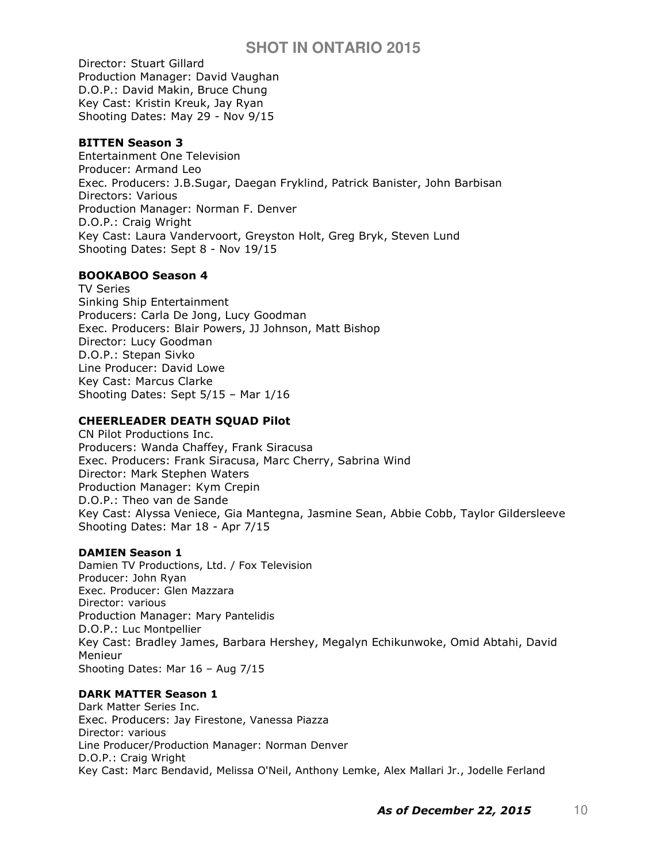Director: Stuart Gillard Production Manager: David Vaughan D.O.P.: David Makin, Bruce Chung Key Cast: Kristin Kreuk, Jay Ryan Shooting Dates: May 29 - Nov 9/15

# BITTEN Season 3

Entertainment One Television Producer: Armand Leo Exec. Producers: J.B.Sugar, Daegan Fryklind, Patrick Banister, John Barbisan Directors: Various Production Manager: Norman F. Denver D.O.P.: Craig Wright Key Cast: Laura Vandervoort, Greyston Holt, Greg Bryk, Steven Lund Shooting Dates: Sept 8 - Nov 19/15

# BOOKABOO Season 4

TV Series Sinking Ship Entertainment Producers: Carla De Jong, Lucy Goodman Exec. Producers: Blair Powers, JJ Johnson, Matt Bishop Director: Lucy Goodman D.O.P.: Stepan Sivko Line Producer: David Lowe Key Cast: Marcus Clarke Shooting Dates: Sept 5/15 – Mar 1/16

# CHEERLEADER DEATH SQUAD Pilot

CN Pilot Productions Inc. Producers: Wanda Chaffey, Frank Siracusa Exec. Producers: Frank Siracusa, Marc Cherry, Sabrina Wind Director: Mark Stephen Waters Production Manager: Kym Crepin D.O.P.: Theo van de Sande Key Cast: Alyssa Veniece, Gia Mantegna, Jasmine Sean, Abbie Cobb, Taylor Gildersleeve Shooting Dates: Mar 18 - Apr 7/15

#### DAMIEN Season 1

Damien TV Productions, Ltd. / Fox Television Producer: John Ryan Exec. Producer: Glen Mazzara Director: various Production Manager: Mary Pantelidis D.O.P.: Luc Montpellier Key Cast: Bradley James, Barbara Hershey, Megalyn Echikunwoke, Omid Abtahi, David Menieur Shooting Dates: Mar 16 – Aug 7/15

# DARK MATTER Season 1

Dark Matter Series Inc. Exec. Producers: Jay Firestone, Vanessa Piazza Director: various Line Producer/Production Manager: Norman Denver D.O.P.: Craig Wright Key Cast: Marc Bendavid, Melissa O'Neil, Anthony Lemke, Alex Mallari Jr., Jodelle Ferland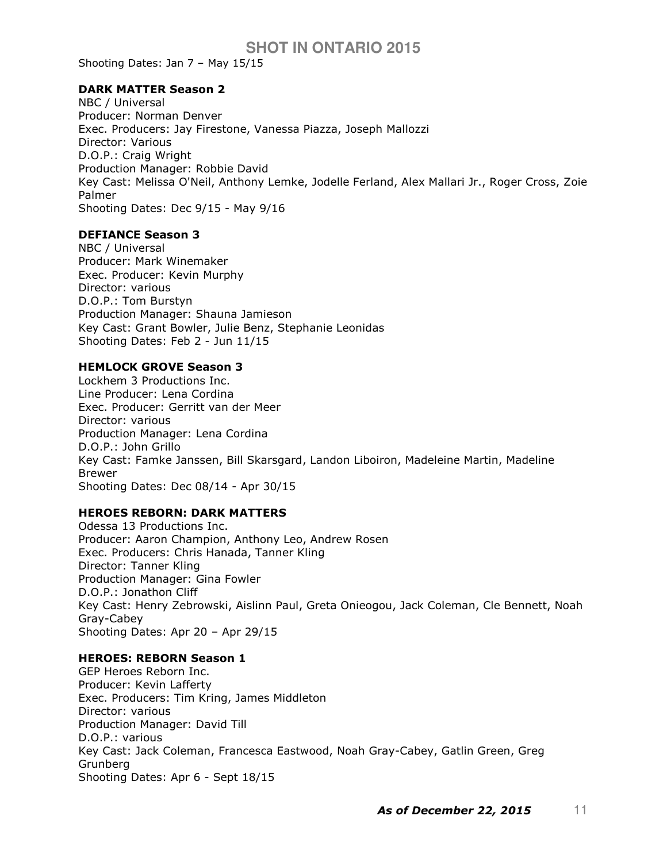Shooting Dates: Jan 7 – May 15/15

## DARK MATTER Season 2

NBC / Universal Producer: Norman Denver Exec. Producers: Jay Firestone, Vanessa Piazza, Joseph Mallozzi Director: Various D.O.P.: Craig Wright Production Manager: Robbie David Key Cast: Melissa O'Neil, Anthony Lemke, Jodelle Ferland, Alex Mallari Jr., Roger Cross, Zoie Palmer Shooting Dates: Dec 9/15 - May 9/16

#### DEFIANCE Season 3

NBC / Universal Producer: Mark Winemaker Exec. Producer: Kevin Murphy Director: various D.O.P.: Tom Burstyn Production Manager: Shauna Jamieson Key Cast: Grant Bowler, Julie Benz, Stephanie Leonidas Shooting Dates: Feb 2 - Jun 11/15

#### HEMLOCK GROVE Season 3

Lockhem 3 Productions Inc. Line Producer: Lena Cordina Exec. Producer: Gerritt van der Meer Director: various Production Manager: Lena Cordina D.O.P.: John Grillo Key Cast: Famke Janssen, Bill Skarsgard, Landon Liboiron, Madeleine Martin, Madeline Brewer Shooting Dates: Dec 08/14 - Apr 30/15

#### HEROES REBORN: DARK MATTERS

Odessa 13 Productions Inc. Producer: Aaron Champion, Anthony Leo, Andrew Rosen Exec. Producers: Chris Hanada, Tanner Kling Director: Tanner Kling Production Manager: Gina Fowler D.O.P.: Jonathon Cliff Key Cast: Henry Zebrowski, Aislinn Paul, Greta Onieogou, Jack Coleman, Cle Bennett, Noah Gray-Cabey Shooting Dates: Apr 20 – Apr 29/15

# HEROES: REBORN Season 1

GEP Heroes Reborn Inc. Producer: Kevin Lafferty Exec. Producers: Tim Kring, James Middleton Director: various Production Manager: David Till D.O.P.: various Key Cast: Jack Coleman, Francesca Eastwood, Noah Gray-Cabey, Gatlin Green, Greg Grunberg Shooting Dates: Apr 6 - Sept 18/15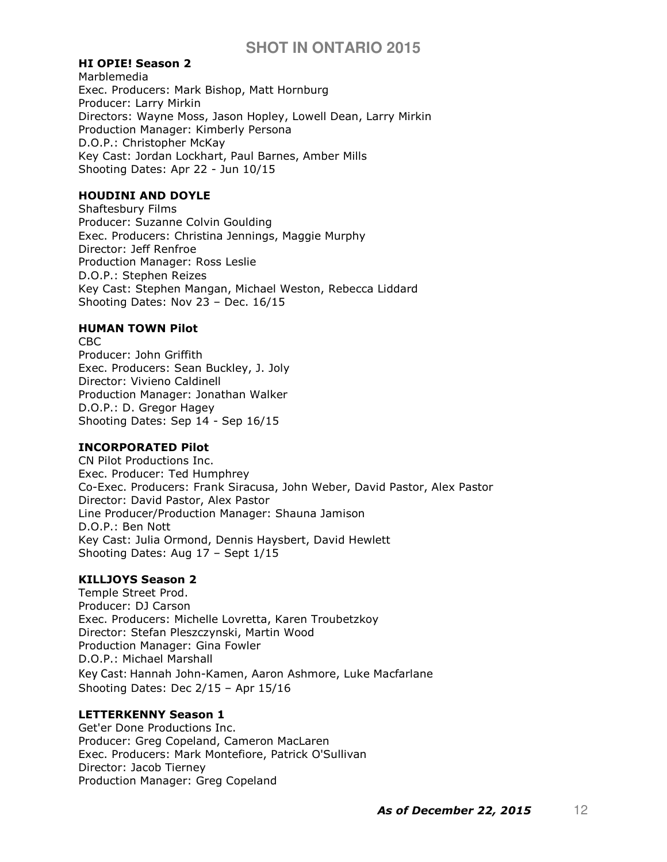#### HI OPIE! Season 2

Marblemedia Exec. Producers: Mark Bishop, Matt Hornburg Producer: Larry Mirkin Directors: Wayne Moss, Jason Hopley, Lowell Dean, Larry Mirkin Production Manager: Kimberly Persona D.O.P.: Christopher McKay Key Cast: Jordan Lockhart, Paul Barnes, Amber Mills Shooting Dates: Apr 22 - Jun 10/15

#### HOUDINI AND DOYLE

Shaftesbury Films Producer: Suzanne Colvin Goulding Exec. Producers: Christina Jennings, Maggie Murphy Director: Jeff Renfroe Production Manager: Ross Leslie D.O.P.: Stephen Reizes Key Cast: Stephen Mangan, Michael Weston, Rebecca Liddard Shooting Dates: Nov 23 – Dec. 16/15

#### HUMAN TOWN Pilot

CBC Producer: John Griffith Exec. Producers: Sean Buckley, J. Joly Director: Vivieno Caldinell Production Manager: Jonathan Walker D.O.P.: D. Gregor Hagey Shooting Dates: Sep 14 - Sep 16/15

## INCORPORATED Pilot

CN Pilot Productions Inc. Exec. Producer: Ted Humphrey Co-Exec. Producers: Frank Siracusa, John Weber, David Pastor, Alex Pastor Director: David Pastor, Alex Pastor Line Producer/Production Manager: Shauna Jamison D.O.P.: Ben Nott Key Cast: Julia Ormond, Dennis Haysbert, David Hewlett Shooting Dates: Aug 17 – Sept 1/15

#### KILLJOYS Season 2

Temple Street Prod. Producer: DJ Carson Exec. Producers: Michelle Lovretta, Karen Troubetzkoy Director: Stefan Pleszczynski, Martin Wood Production Manager: Gina Fowler D.O.P.: Michael Marshall Key Cast: Hannah John-Kamen, Aaron Ashmore, Luke Macfarlane Shooting Dates: Dec 2/15 – Apr 15/16

### LETTERKENNY Season 1

Get'er Done Productions Inc. Producer: Greg Copeland, Cameron MacLaren Exec. Producers: Mark Montefiore, Patrick O'Sullivan Director: Jacob Tierney Production Manager: Greg Copeland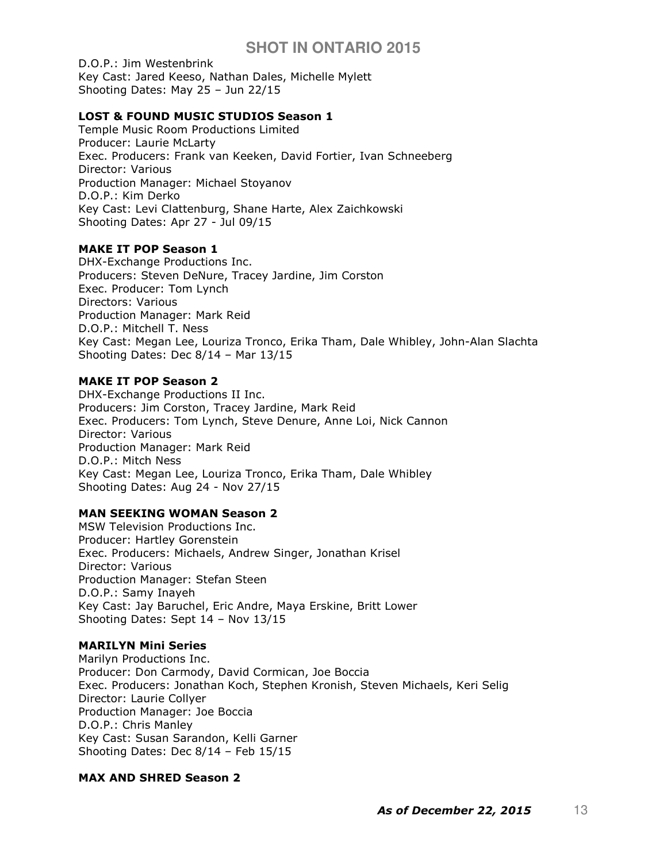D.O.P.: Jim Westenbrink Key Cast: Jared Keeso, Nathan Dales, Michelle Mylett Shooting Dates: May 25 – Jun 22/15

# LOST & FOUND MUSIC STUDIOS Season 1

Temple Music Room Productions Limited Producer: Laurie McLarty Exec. Producers: Frank van Keeken, David Fortier, Ivan Schneeberg Director: Various Production Manager: Michael Stoyanov D.O.P.: Kim Derko Key Cast: Levi Clattenburg, Shane Harte, Alex Zaichkowski Shooting Dates: Apr 27 - Jul 09/15

# MAKE IT POP Season 1

DHX-Exchange Productions Inc. Producers: Steven DeNure, Tracey Jardine, Jim Corston Exec. Producer: Tom Lynch Directors: Various Production Manager: Mark Reid D.O.P.: Mitchell T. Ness Key Cast: Megan Lee, Louriza Tronco, Erika Tham, Dale Whibley, John-Alan Slachta Shooting Dates: Dec 8/14 – Mar 13/15

## MAKE IT POP Season 2

DHX-Exchange Productions II Inc. Producers: Jim Corston, Tracey Jardine, Mark Reid Exec. Producers: Tom Lynch, Steve Denure, Anne Loi, Nick Cannon Director: Various Production Manager: Mark Reid D.O.P.: Mitch Ness Key Cast: Megan Lee, Louriza Tronco, Erika Tham, Dale Whibley Shooting Dates: Aug 24 - Nov 27/15

#### MAN SEEKING WOMAN Season 2

MSW Television Productions Inc. Producer: Hartley Gorenstein Exec. Producers: Michaels, Andrew Singer, Jonathan Krisel Director: Various Production Manager: Stefan Steen D.O.P.: Samy Inayeh Key Cast: Jay Baruchel, Eric Andre, Maya Erskine, Britt Lower Shooting Dates: Sept 14 – Nov 13/15

# MARILYN Mini Series

Marilyn Productions Inc. Producer: Don Carmody, David Cormican, Joe Boccia Exec. Producers: Jonathan Koch, Stephen Kronish, Steven Michaels, Keri Selig Director: Laurie Collyer Production Manager: Joe Boccia D.O.P.: Chris Manley Key Cast: Susan Sarandon, Kelli Garner Shooting Dates: Dec 8/14 – Feb 15/15

# MAX AND SHRED Season 2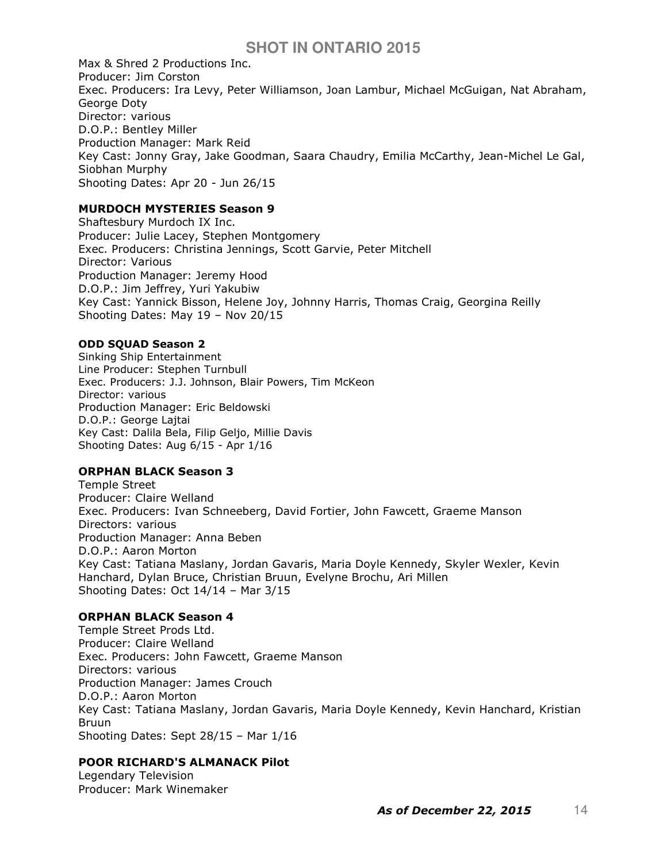Max & Shred 2 Productions Inc. Producer: Jim Corston Exec. Producers: Ira Levy, Peter Williamson, Joan Lambur, Michael McGuigan, Nat Abraham, George Doty Director: various D.O.P.: Bentley Miller Production Manager: Mark Reid Key Cast: Jonny Gray, Jake Goodman, Saara Chaudry, Emilia McCarthy, Jean-Michel Le Gal, Siobhan Murphy Shooting Dates: Apr 20 - Jun 26/15

## MURDOCH MYSTERIES Season 9

Shaftesbury Murdoch IX Inc. Producer: Julie Lacey, Stephen Montgomery Exec. Producers: Christina Jennings, Scott Garvie, Peter Mitchell Director: Various Production Manager: Jeremy Hood D.O.P.: Jim Jeffrey, Yuri Yakubiw Key Cast: Yannick Bisson, Helene Joy, Johnny Harris, Thomas Craig, Georgina Reilly Shooting Dates: May 19 – Nov 20/15

## ODD SQUAD Season 2

Sinking Ship Entertainment Line Producer: Stephen Turnbull Exec. Producers: J.J. Johnson, Blair Powers, Tim McKeon Director: various Production Manager: Eric Beldowski D.O.P.: George Lajtai Key Cast: Dalila Bela, Filip Geljo, Millie Davis Shooting Dates: Aug 6/15 - Apr 1/16

# ORPHAN BLACK Season 3

Temple Street Producer: Claire Welland Exec. Producers: Ivan Schneeberg, David Fortier, John Fawcett, Graeme Manson Directors: various Production Manager: Anna Beben D.O.P.: Aaron Morton Key Cast: Tatiana Maslany, Jordan Gavaris, Maria Doyle Kennedy, Skyler Wexler, Kevin Hanchard, Dylan Bruce, Christian Bruun, Evelyne Brochu, Ari Millen Shooting Dates: Oct 14/14 – Mar 3/15

# ORPHAN BLACK Season 4

Temple Street Prods Ltd. Producer: Claire Welland Exec. Producers: John Fawcett, Graeme Manson Directors: various Production Manager: James Crouch D.O.P.: Aaron Morton Key Cast: Tatiana Maslany, Jordan Gavaris, Maria Doyle Kennedy, Kevin Hanchard, Kristian Bruun Shooting Dates: Sept 28/15 – Mar 1/16

# POOR RICHARD'S ALMANACK Pilot

Legendary Television Producer: Mark Winemaker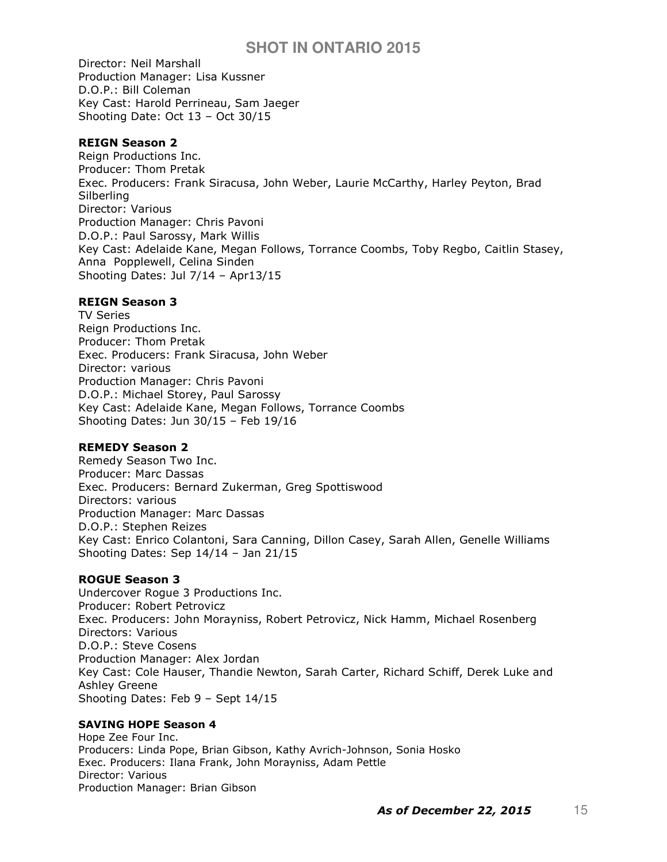Director: Neil Marshall Production Manager: Lisa Kussner D.O.P.: Bill Coleman Key Cast: Harold Perrineau, Sam Jaeger Shooting Date: Oct 13 – Oct 30/15

## REIGN Season 2

Reign Productions Inc. Producer: Thom Pretak Exec. Producers: Frank Siracusa, John Weber, Laurie McCarthy, Harley Peyton, Brad **Silberling** Director: Various Production Manager: Chris Pavoni D.O.P.: Paul Sarossy, Mark Willis Key Cast: Adelaide Kane, Megan Follows, Torrance Coombs, Toby Regbo, Caitlin Stasey, Anna Popplewell, Celina Sinden Shooting Dates: Jul 7/14 – Apr13/15

## REIGN Season 3

TV Series Reign Productions Inc. Producer: Thom Pretak Exec. Producers: Frank Siracusa, John Weber Director: various Production Manager: Chris Pavoni D.O.P.: Michael Storey, Paul Sarossy Key Cast: Adelaide Kane, Megan Follows, Torrance Coombs Shooting Dates: Jun 30/15 – Feb 19/16

#### REMEDY Season 2

Remedy Season Two Inc. Producer: Marc Dassas Exec. Producers: Bernard Zukerman, Greg Spottiswood Directors: various Production Manager: Marc Dassas D.O.P.: Stephen Reizes Key Cast: Enrico Colantoni, Sara Canning, Dillon Casey, Sarah Allen, Genelle Williams Shooting Dates: Sep 14/14 – Jan 21/15

#### ROGUE Season 3

Undercover Rogue 3 Productions Inc. Producer: Robert Petrovicz Exec. Producers: John Morayniss, Robert Petrovicz, Nick Hamm, Michael Rosenberg Directors: Various D.O.P.: Steve Cosens Production Manager: Alex Jordan Key Cast: Cole Hauser, Thandie Newton, Sarah Carter, Richard Schiff, Derek Luke and Ashley Greene Shooting Dates: Feb 9 – Sept 14/15

#### SAVING HOPE Season 4

Hope Zee Four Inc. Producers: Linda Pope, Brian Gibson, Kathy Avrich-Johnson, Sonia Hosko Exec. Producers: Ilana Frank, John Morayniss, Adam Pettle Director: Various Production Manager: Brian Gibson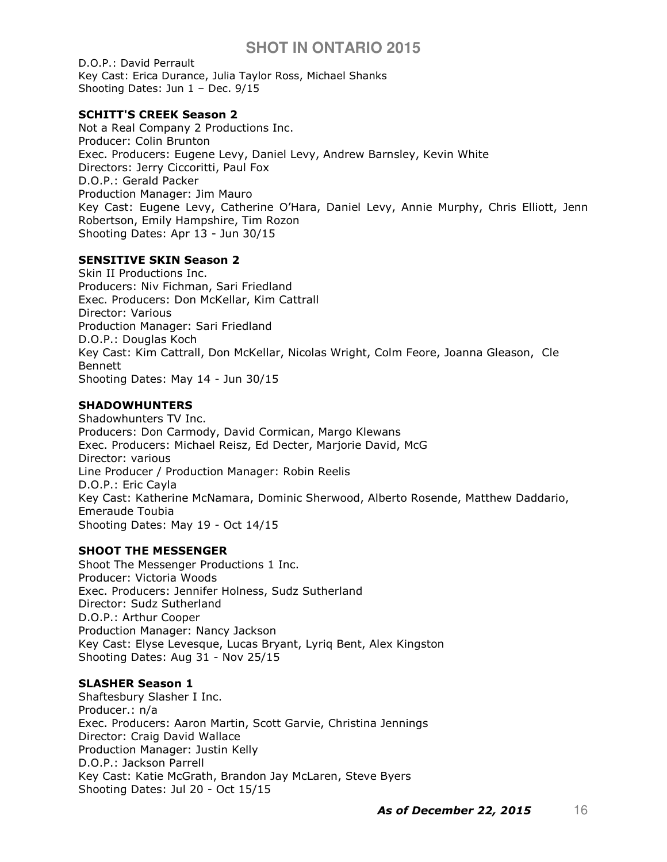D.O.P.: David Perrault Key Cast: Erica Durance, Julia Taylor Ross, Michael Shanks Shooting Dates: Jun 1 – Dec. 9/15

## SCHITT'S CREEK Season 2

Not a Real Company 2 Productions Inc. Producer: Colin Brunton Exec. Producers: Eugene Levy, Daniel Levy, Andrew Barnsley, Kevin White Directors: Jerry Ciccoritti, Paul Fox D.O.P.: Gerald Packer Production Manager: Jim Mauro Key Cast: Eugene Levy, Catherine O'Hara, Daniel Levy, Annie Murphy, Chris Elliott, Jenn Robertson, Emily Hampshire, Tim Rozon Shooting Dates: Apr 13 - Jun 30/15

#### SENSITIVE SKIN Season 2

Skin II Productions Inc. Producers: Niv Fichman, Sari Friedland Exec. Producers: Don McKellar, Kim Cattrall Director: Various Production Manager: Sari Friedland D.O.P.: Douglas Koch Key Cast: Kim Cattrall, Don McKellar, Nicolas Wright, Colm Feore, Joanna Gleason, Cle Bennett Shooting Dates: May 14 - Jun 30/15

#### SHADOWHUNTERS

Shadowhunters TV Inc. Producers: Don Carmody, David Cormican, Margo Klewans Exec. Producers: Michael Reisz, Ed Decter, Marjorie David, McG Director: various Line Producer / Production Manager: Robin Reelis D.O.P.: Eric Cayla Key Cast: Katherine McNamara, Dominic Sherwood, Alberto Rosende, Matthew Daddario, Emeraude Toubia Shooting Dates: May 19 - Oct 14/15

## SHOOT THE MESSENGER

Shoot The Messenger Productions 1 Inc. Producer: Victoria Woods Exec. Producers: Jennifer Holness, Sudz Sutherland Director: Sudz Sutherland D.O.P.: Arthur Cooper Production Manager: Nancy Jackson Key Cast: Elyse Levesque, Lucas Bryant, Lyriq Bent, Alex Kingston Shooting Dates: Aug 31 - Nov 25/15

## SLASHER Season 1

Shaftesbury Slasher I Inc. Producer.: n/a Exec. Producers: Aaron Martin, Scott Garvie, Christina Jennings Director: Craig David Wallace Production Manager: Justin Kelly D.O.P.: Jackson Parrell Key Cast: Katie McGrath, Brandon Jay McLaren, Steve Byers Shooting Dates: Jul 20 - Oct 15/15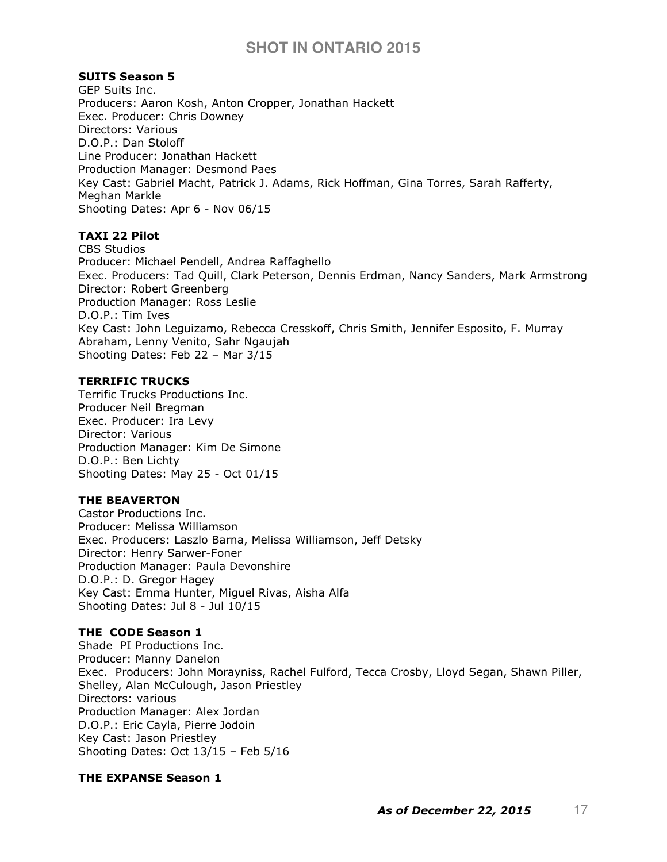## SUITS Season 5

GEP Suits Inc. Producers: Aaron Kosh, Anton Cropper, Jonathan Hackett Exec. Producer: Chris Downey Directors: Various D.O.P.: Dan Stoloff Line Producer: Jonathan Hackett Production Manager: Desmond Paes Key Cast: Gabriel Macht, Patrick J. Adams, Rick Hoffman, Gina Torres, Sarah Rafferty, Meghan Markle Shooting Dates: Apr 6 - Nov 06/15

## TAXI 22 Pilot

CBS Studios Producer: Michael Pendell, Andrea Raffaghello Exec. Producers: Tad Quill, Clark Peterson, Dennis Erdman, Nancy Sanders, Mark Armstrong Director: Robert Greenberg Production Manager: Ross Leslie D.O.P.: Tim Ives Key Cast: John Leguizamo, Rebecca Cresskoff, Chris Smith, Jennifer Esposito, F. Murray Abraham, Lenny Venito, Sahr Ngaujah Shooting Dates: Feb 22 – Mar 3/15

#### TERRIFIC TRUCKS

Terrific Trucks Productions Inc. Producer Neil Bregman Exec. Producer: Ira Levy Director: Various Production Manager: Kim De Simone D.O.P.: Ben Lichty Shooting Dates: May 25 - Oct 01/15

#### THE BEAVERTON

Castor Productions Inc. Producer: Melissa Williamson Exec. Producers: Laszlo Barna, Melissa Williamson, Jeff Detsky Director: Henry Sarwer-Foner Production Manager: Paula Devonshire D.O.P.: D. Gregor Hagey Key Cast: Emma Hunter, Miguel Rivas, Aisha Alfa Shooting Dates: Jul 8 - Jul 10/15

#### THE CODE Season 1

Shade PI Productions Inc. Producer: Manny Danelon Exec. Producers: John Morayniss, Rachel Fulford, Tecca Crosby, Lloyd Segan, Shawn Piller, Shelley, Alan McCulough, Jason Priestley Directors: various Production Manager: Alex Jordan D.O.P.: Eric Cayla, Pierre Jodoin Key Cast: Jason Priestley Shooting Dates: Oct 13/15 – Feb 5/16

### THE EXPANSE Season 1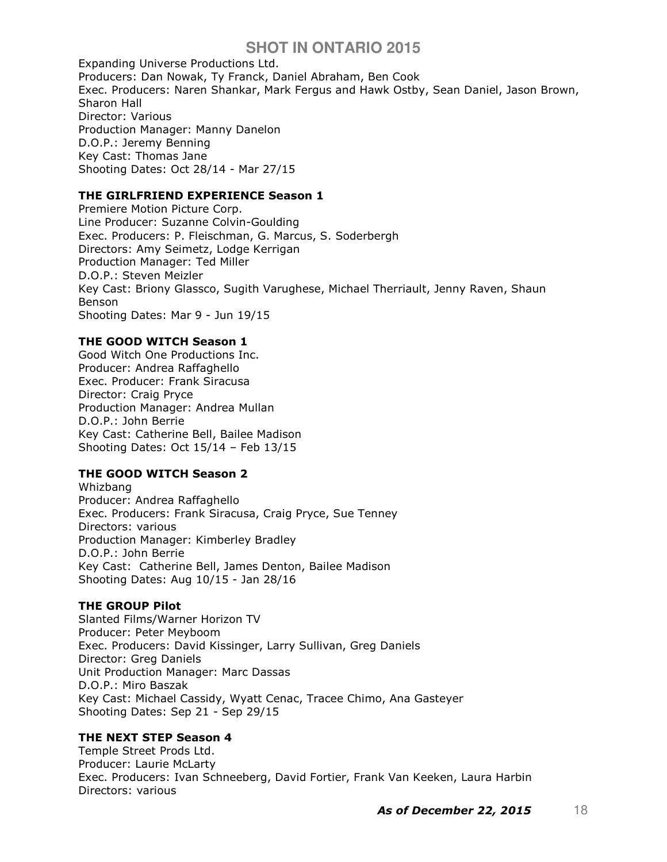Expanding Universe Productions Ltd. Producers: Dan Nowak, Ty Franck, Daniel Abraham, Ben Cook Exec. Producers: Naren Shankar, Mark Fergus and Hawk Ostby, Sean Daniel, Jason Brown, Sharon Hall Director: Various Production Manager: Manny Danelon D.O.P.: Jeremy Benning Key Cast: Thomas Jane Shooting Dates: Oct 28/14 - Mar 27/15

#### THE GIRLFRIEND EXPERIENCE Season 1

Premiere Motion Picture Corp. Line Producer: Suzanne Colvin-Goulding Exec. Producers: P. Fleischman, G. Marcus, S. Soderbergh Directors: Amy Seimetz, Lodge Kerrigan Production Manager: Ted Miller D.O.P.: Steven Meizler Key Cast: Briony Glassco, Sugith Varughese, Michael Therriault, Jenny Raven, Shaun Benson Shooting Dates: Mar 9 - Jun 19/15

# THE GOOD WITCH Season 1

Good Witch One Productions Inc. Producer: Andrea Raffaghello Exec. Producer: Frank Siracusa Director: Craig Pryce Production Manager: Andrea Mullan D.O.P.: John Berrie Key Cast: Catherine Bell, Bailee Madison Shooting Dates: Oct 15/14 – Feb 13/15

# THE GOOD WITCH Season 2

Whizbang Producer: Andrea Raffaghello Exec. Producers: Frank Siracusa, Craig Pryce, Sue Tenney Directors: various Production Manager: Kimberley Bradley D.O.P.: John Berrie Key Cast: Catherine Bell, James Denton, Bailee Madison Shooting Dates: Aug 10/15 - Jan 28/16

# THE GROUP Pilot

Slanted Films/Warner Horizon TV Producer: Peter Meyboom Exec. Producers: David Kissinger, Larry Sullivan, Greg Daniels Director: Greg Daniels Unit Production Manager: Marc Dassas D.O.P.: Miro Baszak Key Cast: Michael Cassidy, Wyatt Cenac, Tracee Chimo, Ana Gasteyer Shooting Dates: Sep 21 - Sep 29/15

# THE NEXT STEP Season 4

Temple Street Prods Ltd. Producer: Laurie McLarty Exec. Producers: Ivan Schneeberg, David Fortier, Frank Van Keeken, Laura Harbin Directors: various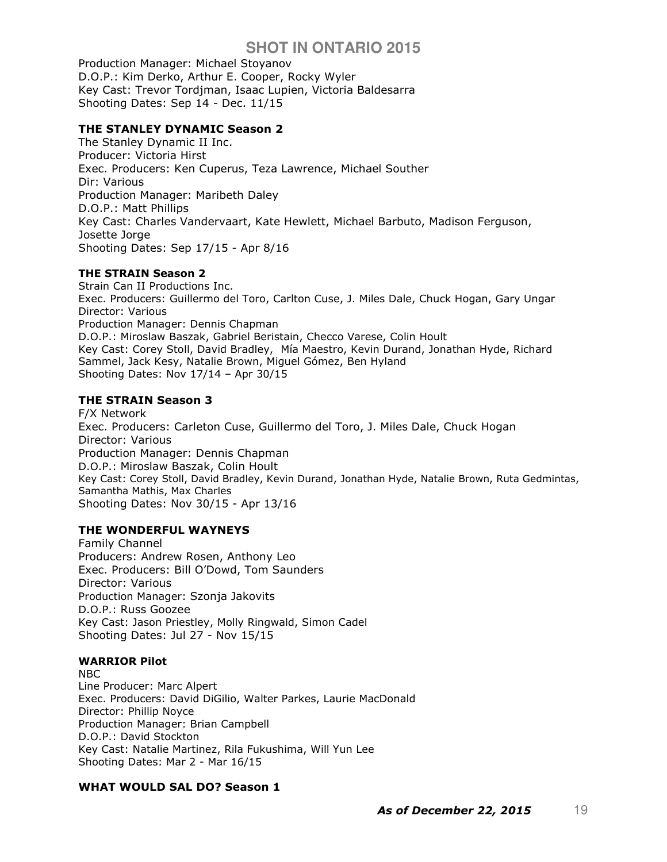Production Manager: Michael Stoyanov D.O.P.: Kim Derko, Arthur E. Cooper, Rocky Wyler Key Cast: Trevor Tordjman, Isaac Lupien, Victoria Baldesarra Shooting Dates: Sep 14 - Dec. 11/15

# THE STANLEY DYNAMIC Season 2

The Stanley Dynamic II Inc. Producer: Victoria Hirst Exec. Producers: Ken Cuperus, Teza Lawrence, Michael Souther Dir: Various Production Manager: Maribeth Daley D.O.P.: Matt Phillips Key Cast: Charles Vandervaart, Kate Hewlett, Michael Barbuto, Madison Ferguson, Josette Jorge Shooting Dates: Sep 17/15 - Apr 8/16

## THE STRAIN Season 2

Strain Can II Productions Inc. Exec. Producers: Guillermo del Toro, Carlton Cuse, J. Miles Dale, Chuck Hogan, Gary Ungar Director: Various Production Manager: Dennis Chapman D.O.P.: Miroslaw Baszak, Gabriel Beristain, Checco Varese, Colin Hoult Key Cast: Corey Stoll, David Bradley, Mía Maestro, Kevin Durand, Jonathan Hyde, Richard Sammel, Jack Kesy, Natalie Brown, Miguel Gómez, Ben Hyland Shooting Dates: Nov 17/14 – Apr 30/15

# THE STRAIN Season 3

F/X Network Exec. Producers: Carleton Cuse, Guillermo del Toro, J. Miles Dale, Chuck Hogan Director: Various Production Manager: Dennis Chapman D.O.P.: Miroslaw Baszak, Colin Hoult Key Cast: Corey Stoll, David Bradley, Kevin Durand, Jonathan Hyde, Natalie Brown, Ruta Gedmintas, Samantha Mathis, Max Charles Shooting Dates: Nov 30/15 - Apr 13/16

# THE WONDERFUL WAYNEYS

Family Channel Producers: Andrew Rosen, Anthony Leo Exec. Producers: Bill O'Dowd, Tom Saunders Director: Various Production Manager: Szonja Jakovits D.O.P.: Russ Goozee Key Cast: Jason Priestley, Molly Ringwald, Simon Cadel Shooting Dates: Jul 27 - Nov 15/15

# WARRIOR Pilot

NBC Line Producer: Marc Alpert Exec. Producers: David DiGilio, Walter Parkes, Laurie MacDonald Director: Phillip Noyce Production Manager: Brian Campbell D.O.P.: David Stockton Key Cast: Natalie Martinez, Rila Fukushima, Will Yun Lee Shooting Dates: Mar 2 - Mar 16/15

# WHAT WOULD SAL DO? Season 1